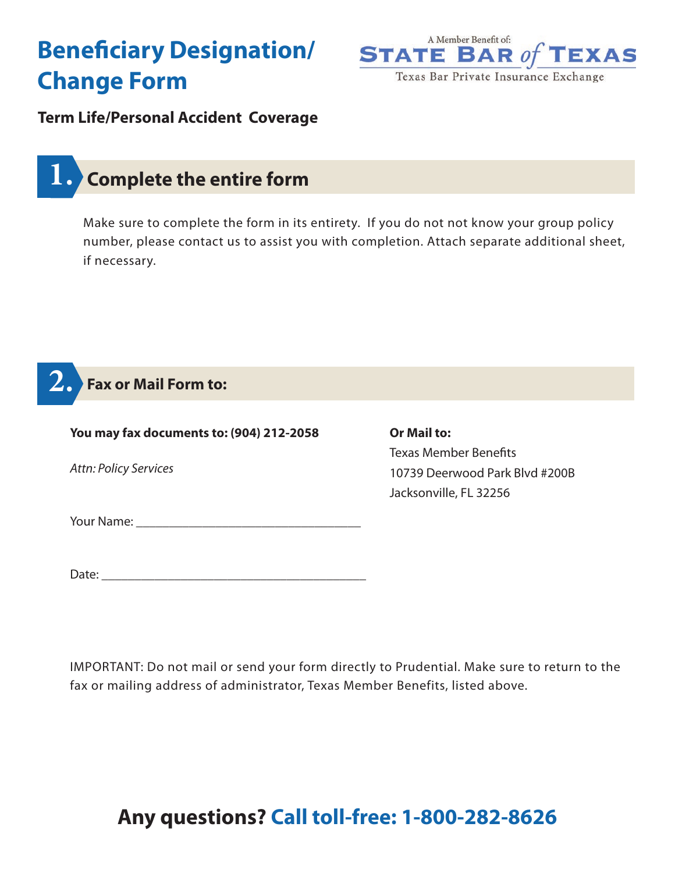# **Beneficiary Designation/ Change Form**



### **Term Life/Personal Accident Coverage**

## **1. Complete the entire form**

Make sure to complete the form in its entirety. If you do not not know your group policy number, please contact us to assist you with completion. Attach separate additional sheet, if necessary.

### **2. Fax or Mail Form to:**

| You may fax documents to: (904) 212-2058 | <b>Or Mail to:</b>             |
|------------------------------------------|--------------------------------|
|                                          | <b>Texas Member Benefits</b>   |
| <b>Attn: Policy Services</b>             | 10739 Deerwood Park Blvd #200B |
|                                          | Jacksonville, FL 32256         |
|                                          |                                |
| Date:                                    |                                |

IMPORTANT: Do not mail or send your form directly to Prudential. Make sure to return to the fax or mailing address of administrator, Texas Member Benefits, listed above.

# **Any questions? Call toll-free: 1-800-282-8626**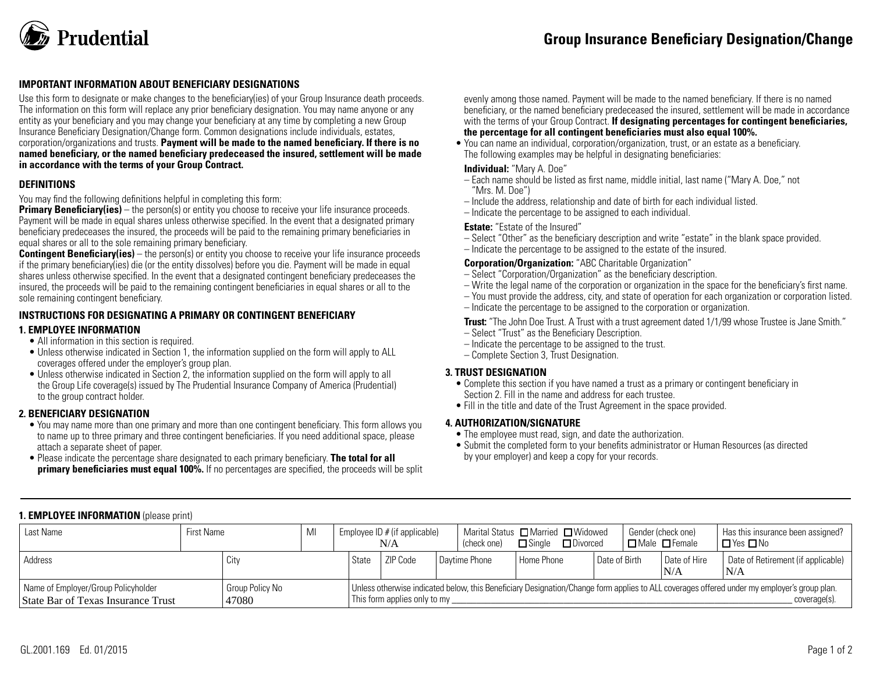

#### **IMPORTANT INFORMATION ABOUT BENEFICIARY DESIGNATIONS**

Use this form to designate or make changes to the beneficiary(ies) of your Group Insurance death proceeds. The information on this form will replace any prior beneficiary designation. You may name anyone or any entity as your beneficiary and you may change your beneficiary at any time by completing a new Group Insurance Beneficiary Designation/Change form. Common designations include individuals, estates, corporation/organizations and trusts. **Payment will be made to the named beneficiary. If there is no named beneficiary, or the named beneficiary predeceased the insured, settlement will be made in accordance with the terms of your Group Contract.**

#### **DEFINITIONS**

You may find the following definitions helpful in completing this form:

**Primary Beneficiary(ies)** – the person(s) or entity you choose to receive your life insurance proceeds. Payment will be made in equal shares unless otherwise specified. In the event that a designated primary beneficiary predeceases the insured, the proceeds will be paid to the remaining primary beneficiaries in equal shares or all to the sole remaining primary beneficiary.

**Contingent Beneficiary(ies)** – the person(s) or entity you choose to receive your life insurance proceeds if the primary beneficiary(ies) die (or the entity dissolves) before you die. Payment will be made in equal shares unless otherwise specified. In the event that a designated contingent beneficiary predeceases the insured, the proceeds will be paid to the remaining contingent beneficiaries in equal shares or all to the sole remaining contingent beneficiary.

#### **INSTRUCTIONS FOR DESIGNATING A PRIMARY OR CONTINGENT BENEFICIARY**

#### **1. EMPLOYEE INFORMATION**

- All information in this section is required.
- Unless otherwise indicated in Section 1, the information supplied on the form will apply to ALL coverages offered under the employer's group plan.
- Unless otherwise indicated in Section 2, the information supplied on the form will apply to all the Group Life coverage(s) issued by The Prudential Insurance Company of America (Prudential) to the group contract holder.

#### **2. BENEFICIARY DESIGNATION**

- You may name more than one primary and more than one contingent beneficiary. This form allows you to name up to three primary and three contingent beneficiaries. If you need additional space, please attach a separate sheet of paper.
- Please indicate the percentage share designated to each primary beneficiary. **The total for all primary beneficiaries must equal 100%.** If no percentages are specified, the proceeds will be split

evenly among those named. Payment will be made to the named beneficiary. If there is no named beneficiary, or the named beneficiary predeceased the insured, settlement will be made in accordance with the terms of your Group Contract. **If designating percentages for contingent beneficiaries, the percentage for all contingent beneficiaries must also equal 100%.**

• You can name an individual, corporation/organization, trust, or an estate as a beneficiary. The following examples may be helpful in designating beneficiaries:

#### **Individual:** "Mary A. Doe"

- Each name should be listed as first name, middle initial, last name ("Mary A. Doe," not "Mrs. M. Doe")
- Include the address, relationship and date of birth for each individual listed.
- Indicate the percentage to be assigned to each individual.

#### **Estate:** "Estate of the Insured"

- Select "Other" as the beneficiary description and write "estate" in the blank space provided.
- Indicate the percentage to be assigned to the estate of the insured.

#### **Corporation/Organization:** "ABC Charitable Organization"

- Select "Corporation/Organization" as the beneficiary description.
- Write the legal name of the corporation or organization in the space for the beneficiary's first name.
- You must provide the address, city, and state of operation for each organization or corporation listed.
- Indicate the percentage to be assigned to the corporation or organization.

**Trust:** "The John Doe Trust. A Trust with a trust agreement dated 1/1/99 whose Trustee is Jane Smith."

- Select "Trust" as the Beneficiary Description.
- Indicate the percentage to be assigned to the trust.
- Complete Section 3, Trust Designation.

#### **3. TRUST DESIGNATION**

- Complete this section if you have named a trust as a primary or contingent beneficiary in Section 2. Fill in the name and address for each trustee.
- Fill in the title and date of the Trust Agreement in the space provided.

#### **4. AUTHORIZATION/SIGNATURE**

- The employee must read, sign, and date the authorization.
- Submit the completed form to your benefits administrator or Human Resources (as directed by your employer) and keep a copy for your records.

### **1. EMPLOYEE INFORMATION** (please print)

| Last Name                                                                 | <b>First Name</b> |                          | MI | Employee ID $#$ (if applicable)<br>N/A |                              |  | (check one)   | Marital Status □ Married □ Widowed<br>$\square$ Sinale<br>$\Box$ Divorced |  | Gender (check one)<br>$\Box$ Male $\Box$ Female |  | Has this insurance been assigned?<br>∣□Yes□No |                                                                                                                                                             |
|---------------------------------------------------------------------------|-------------------|--------------------------|----|----------------------------------------|------------------------------|--|---------------|---------------------------------------------------------------------------|--|-------------------------------------------------|--|-----------------------------------------------|-------------------------------------------------------------------------------------------------------------------------------------------------------------|
| Address                                                                   |                   | City                     |    | State                                  | ZIP Code                     |  | Daytime Phone | l Home Phone                                                              |  | l Date of Birth                                 |  | Date of Hire<br>N/A                           | Date of Retirement (if applicable)<br>'N/A                                                                                                                  |
| Name of Employer/Group Policyholder<br>State Bar of Texas Insurance Trust |                   | Group Policy No<br>47080 |    |                                        | This form applies only to my |  |               |                                                                           |  |                                                 |  |                                               | Unless otherwise indicated below, this Beneficiary Designation/Change form applies to ALL coverages offered under my employer's group plan.<br>coverage(s). |